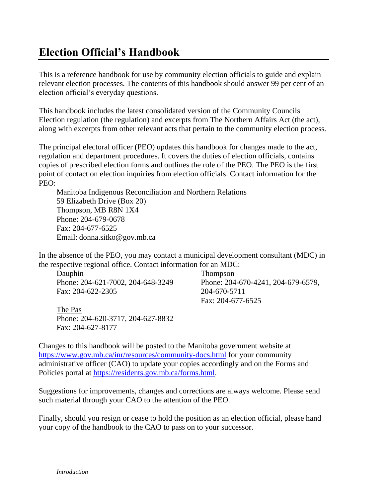# **Election Official's Handbook**

This is a reference handbook for use by community election officials to guide and explain relevant election processes. The contents of this handbook should answer 99 per cent of an election official's everyday questions.

This handbook includes the latest consolidated version of the Community Councils Election regulation (the regulation) and excerpts from The Northern Affairs Act (the act), along with excerpts from other relevant acts that pertain to the community election process.

The principal electoral officer (PEO) updates this handbook for changes made to the act, regulation and department procedures. It covers the duties of election officials, contains copies of prescribed election forms and outlines the role of the PEO. The PEO is the first point of contact on election inquiries from election officials. Contact information for the PEO:

Manitoba Indigenous Reconciliation and Northern Relations 59 Elizabeth Drive (Box 20) Thompson, MB R8N 1X4 Phone: 204-679-0678 Fax: 204-677-6525 Email: donna.sitko@gov.mb.ca

In the absence of the PEO, you may contact a municipal development consultant (MDC) in the respective regional office. Contact information for an MDC:

Dauphin Phone: 204-621-7002, 204-648-3249 Fax: 204-622-2305

The Pas Phone: 204-620-3717, 204-627-8832 Fax: 204-627-8177

Thompson Phone: 204-670-4241, 204-679-6579, 204-670-5711 Fax: 204-677-6525

Changes to this handbook will be posted to the Manitoba government website at <https://www.gov.mb.ca/inr/resources/community-docs.html> for your community administrative officer (CAO) to update your copies accordingly and on the Forms and Policies portal at [https://residents.gov.mb.ca/forms.html.](https://residents.gov.mb.ca/forms.html)

Suggestions for improvements, changes and corrections are always welcome. Please send such material through your CAO to the attention of the PEO.

Finally, should you resign or cease to hold the position as an election official, please hand your copy of the handbook to the CAO to pass on to your successor.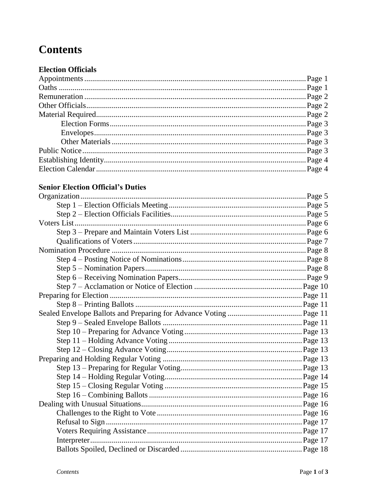# **Contents**

# **Election Officials**

# **Senior Election Official's Duties**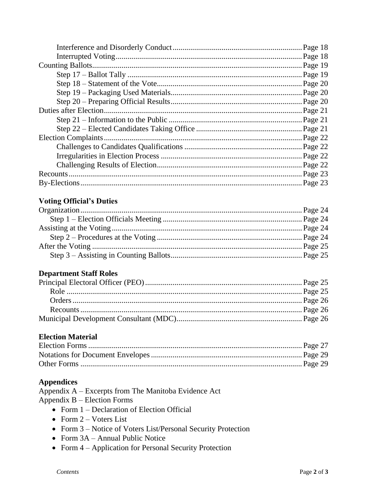| Page 18  |
|----------|
| .Page 18 |
| Page 19  |
| Page 19  |
| Page 20  |
| Page 20  |
| Page 20  |
| Page 21  |
| Page 21  |
|          |
| Page 22  |
| Page 22  |
| Page 22  |
| Page 22  |
| Page 23  |
| Page 23  |

# **Voting Official's Duties**

# **Department Staff Roles**

# **Election Material**

# **Appendices**

Appendix A – Excerpts from The Manitoba Evidence Act Appendix  $B -$ Election Forms

- Form  $1$  Declaration of Election Official
- Form  $2 V$ oters List
- Form 3 Notice of Voters List/Personal Security Protection
- Form  $3A Annual Public Notice$
- Form  $4 -$  Application for Personal Security Protection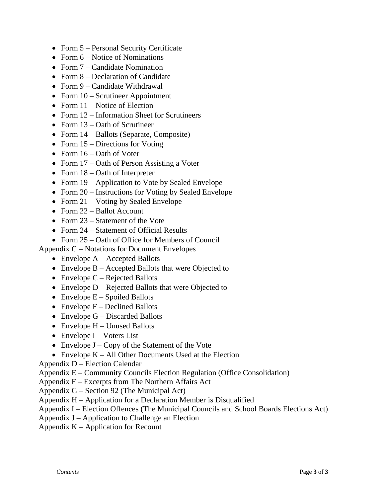- Form 5 Personal Security Certificate
- Form  $6$  Notice of Nominations
- Form 7 Candidate Nomination
- Form 8 Declaration of Candidate
- Form 9 Candidate Withdrawal
- Form  $10$  Scrutineer Appointment
- Form  $11$  Notice of Election
- Form 12 Information Sheet for Scrutineers
- Form  $13 -$ Oath of Scrutineer
- Form  $14$  Ballots (Separate, Composite)
- Form  $15$  Directions for Voting
- Form  $16 -$ Oath of Voter
- Form 17 Oath of Person Assisting a Voter
- Form  $18 -$ Oath of Interpreter
- Form 19 Application to Vote by Sealed Envelope
- Form 20 Instructions for Voting by Sealed Envelope
- Form  $21$  Voting by Sealed Envelope
- Form 22 Ballot Account
- Form 23 Statement of the Vote
- Form 24 Statement of Official Results
- Form 25 Oath of Office for Members of Council

Appendix C – Notations for Document Envelopes

- Envelope  $A -$ Accepted Ballots
- Envelope  $B -$  Accepted Ballots that were Objected to
- Envelope  $C$  Rejected Ballots
- Envelope D Rejected Ballots that were Objected to
- Envelope  $E -$  Spoiled Ballots
- Envelope  $F -$  Declined Ballots
- Envelope  $G Discarded$  Ballots
- $\bullet$  Envelope H Unused Ballots
- Envelope  $I V$ oters List
- Envelope  $J Copy$  of the Statement of the Vote
- Envelope  $K All$  Other Documents Used at the Election

Appendix D – Election Calendar

- Appendix E Community Councils Election Regulation (Office Consolidation)
- Appendix F Excerpts from The Northern Affairs Act
- Appendix G Section 92 (The Municipal Act)
- Appendix H Application for a Declaration Member is Disqualified
- Appendix I Election Offences (The Municipal Councils and School Boards Elections Act)
- Appendix J Application to Challenge an Election
- Appendix  $K -$  Application for Recount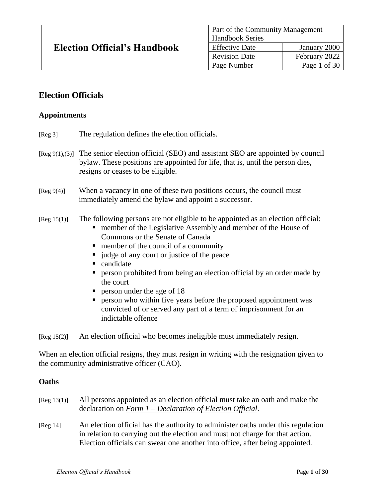| <b>Election Official's Handbook</b> | <b>Part of the Community Management</b> |                      |  |
|-------------------------------------|-----------------------------------------|----------------------|--|
|                                     | <b>Handbook Series</b>                  |                      |  |
|                                     | <b>Effective Date</b>                   | January 2000         |  |
|                                     | <b>Revision Date</b>                    | February 2022        |  |
|                                     | Page Number                             | Page 1 of 30 $\vert$ |  |

# **Election Officials**

## **Appointments**

- [Reg 3] The regulation defines the election officials.
- $[Reg 9(1), (3)]$  The senior election official (SEO) and assistant SEO are appointed by council bylaw. These positions are appointed for life, that is, until the person dies, resigns or ceases to be eligible.
- [Reg 9(4)] When a vacancy in one of these two positions occurs, the council must immediately amend the bylaw and appoint a successor.

#### [Reg 15(1)] The following persons are not eligible to be appointed as an election official:

- **number of the Legislative Assembly and member of the House of** Commons or the Senate of Canada
- member of the council of a community
- ullet us in vert or justice of the peace
- candidate
- **Person prohibited from being an election official by an order made by** the court
- **person under the age of 18**
- **Person who within five years before the proposed appointment was** convicted of or served any part of a term of imprisonment for an indictable offence

[Reg 15(2)] An election official who becomes ineligible must immediately resign.

When an election official resigns, they must resign in writing with the resignation given to the community administrative officer (CAO).

## **Oaths**

| [Reg 13(1)]  | All persons appointed as an election official must take an oath and make the<br>declaration on Form $1$ – Declaration of Election Official.                                                                                                       |
|--------------|---------------------------------------------------------------------------------------------------------------------------------------------------------------------------------------------------------------------------------------------------|
| [ $Reg 14$ ] | An election official has the authority to administer oaths under this regulation<br>in relation to carrying out the election and must not charge for that action.<br>Election officials can swear one another into office, after being appointed. |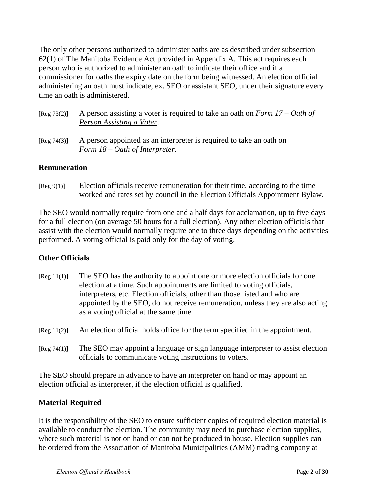The only other persons authorized to administer oaths are as described under subsection 62(1) of The Manitoba Evidence Act provided in Appendix A. This act requires each person who is authorized to administer an oath to indicate their office and if a commissioner for oaths the expiry date on the form being witnessed. An election official administering an oath must indicate, ex. SEO or assistant SEO, under their signature every time an oath is administered.

| [Reg 73(2)] A person assisting a voter is required to take an oath on Form $17 - Oath$ of |
|-------------------------------------------------------------------------------------------|
| Person Assisting a Voter.                                                                 |

[Reg 74(3)] A person appointed as an interpreter is required to take an oath on *Form 18 – Oath of Interpreter*.

## **Remuneration**

[Reg 9(1)] Election officials receive remuneration for their time, according to the time worked and rates set by council in the Election Officials Appointment Bylaw.

The SEO would normally require from one and a half days for acclamation, up to five days for a full election (on average 50 hours for a full election). Any other election officials that assist with the election would normally require one to three days depending on the activities performed. A voting official is paid only for the day of voting.

## **Other Officials**

- [Reg 11(1)] The SEO has the authority to appoint one or more election officials for one election at a time. Such appointments are limited to voting officials, interpreters, etc. Election officials, other than those listed and who are appointed by the SEO, do not receive remuneration, unless they are also acting as a voting official at the same time.
- [Reg 11(2)] An election official holds office for the term specified in the appointment.
- [Reg 74(1)] The SEO may appoint a language or sign language interpreter to assist election officials to communicate voting instructions to voters.

The SEO should prepare in advance to have an interpreter on hand or may appoint an election official as interpreter, if the election official is qualified.

## **Material Required**

It is the responsibility of the SEO to ensure sufficient copies of required election material is available to conduct the election. The community may need to purchase election supplies, where such material is not on hand or can not be produced in house. Election supplies can be ordered from the Association of Manitoba Municipalities (AMM) trading company at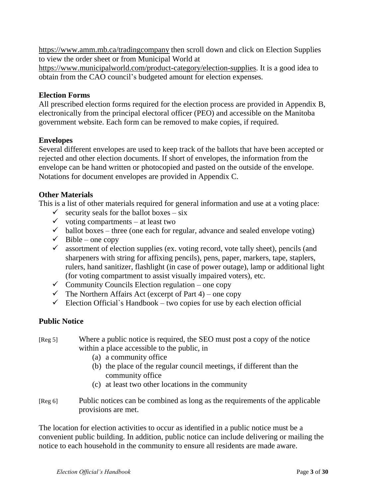[https://www.amm.mb.ca/tradingcompany](https://www.amm.mb.ca/tradingcompany/) then scroll down and click on Election Supplies to view the order sheet or from Municipal World at

[https://www.municipalworld.com/product-category/election-supplies.](https://www.municipalworld.com/product-category/election-supplies/) It is a good idea to obtain from the CAO council's budgeted amount for election expenses.

## **Election Forms**

All prescribed election forms required for the election process are provided in Appendix B, electronically from the principal electoral officer (PEO) and accessible on the Manitoba government website. Each form can be removed to make copies, if required.

#### **Envelopes**

Several different envelopes are used to keep track of the ballots that have been accepted or rejected and other election documents. If short of envelopes, the information from the envelope can be hand written or photocopied and pasted on the outside of the envelope. Notations for document envelopes are provided in Appendix C.

## **Other Materials**

This is a list of other materials required for general information and use at a voting place:

- $\checkmark$  security seals for the ballot boxes six
- $\checkmark$  voting compartments at least two
- $\checkmark$  ballot boxes three (one each for regular, advance and sealed envelope voting)
- $\checkmark$  Bible one copy
- $\checkmark$  assortment of election supplies (ex. voting record, vote tally sheet), pencils (and sharpeners with string for affixing pencils), pens, paper, markers, tape, staplers, rulers, hand sanitizer, flashlight (in case of power outage), lamp or additional light (for voting compartment to assist visually impaired voters), etc.
- $\checkmark$  Community Councils Election regulation one copy
- $\checkmark$  The Northern Affairs Act (excerpt of Part 4) one copy
- Election Official`s Handbook two copies for use by each election official

## **Public Notice**

- [Reg 5] Where a public notice is required, the SEO must post a copy of the notice within a place accessible to the public, in
	- (a) a community office
	- (b) the place of the regular council meetings, if different than the community office
	- (c) at least two other locations in the community
- [Reg 6] Public notices can be combined as long as the requirements of the applicable provisions are met.

The location for election activities to occur as identified in a public notice must be a convenient public building. In addition, public notice can include delivering or mailing the notice to each household in the community to ensure all residents are made aware.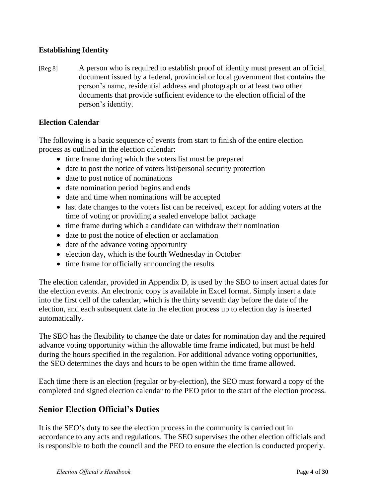# **Establishing Identity**

[Reg 8] A person who is required to establish proof of identity must present an official document issued by a federal, provincial or local government that contains the person's name, residential address and photograph or at least two other documents that provide sufficient evidence to the election official of the person's identity.

## **Election Calendar**

The following is a basic sequence of events from start to finish of the entire election process as outlined in the election calendar:

- time frame during which the voters list must be prepared
- date to post the notice of voters list/personal security protection
- date to post notice of nominations
- date nomination period begins and ends
- date and time when nominations will be accepted
- last date changes to the voters list can be received, except for adding voters at the time of voting or providing a sealed envelope ballot package
- time frame during which a candidate can withdraw their nomination
- date to post the notice of election or acclamation
- date of the advance voting opportunity
- election day, which is the fourth Wednesday in October
- time frame for officially announcing the results

The election calendar, provided in Appendix D, is used by the SEO to insert actual dates for the election events. An electronic copy is available in Excel format. Simply insert a date into the first cell of the calendar, which is the thirty seventh day before the date of the election, and each subsequent date in the election process up to election day is inserted automatically.

The SEO has the flexibility to change the date or dates for nomination day and the required advance voting opportunity within the allowable time frame indicated, but must be held during the hours specified in the regulation. For additional advance voting opportunities, the SEO determines the days and hours to be open within the time frame allowed.

Each time there is an election (regular or by-election), the SEO must forward a copy of the completed and signed election calendar to the PEO prior to the start of the election process.

# **Senior Election Official's Duties**

It is the SEO's duty to see the election process in the community is carried out in accordance to any acts and regulations. The SEO supervises the other election officials and is responsible to both the council and the PEO to ensure the election is conducted properly.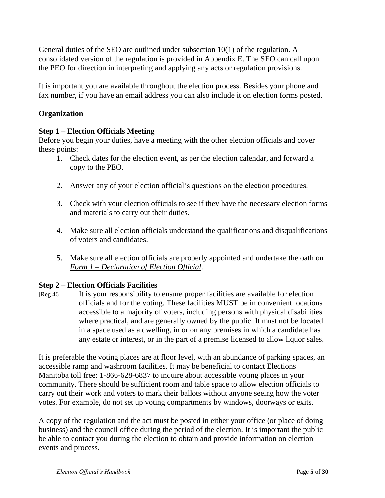General duties of the SEO are outlined under subsection 10(1) of the regulation. A consolidated version of the regulation is provided in Appendix E. The SEO can call upon the PEO for direction in interpreting and applying any acts or regulation provisions.

It is important you are available throughout the election process. Besides your phone and fax number, if you have an email address you can also include it on election forms posted.

## **Organization**

## **Step 1 – Election Officials Meeting**

Before you begin your duties, have a meeting with the other election officials and cover these points:

- 1. Check dates for the election event, as per the election calendar, and forward a copy to the PEO.
- 2. Answer any of your election official's questions on the election procedures.
- 3. Check with your election officials to see if they have the necessary election forms and materials to carry out their duties.
- 4. Make sure all election officials understand the qualifications and disqualifications of voters and candidates.
- 5. Make sure all election officials are properly appointed and undertake the oath on *Form 1 – Declaration of Election Official*.

## **Step 2 – Election Officials Facilities**

[Reg 46] It is your responsibility to ensure proper facilities are available for election officials and for the voting. These facilities MUST be in convenient locations accessible to a majority of voters, including persons with physical disabilities where practical, and are generally owned by the public. It must not be located in a space used as a dwelling, in or on any premises in which a candidate has any estate or interest, or in the part of a premise licensed to allow liquor sales.

It is preferable the voting places are at floor level, with an abundance of parking spaces, an accessible ramp and washroom facilities. It may be beneficial to contact Elections Manitoba toll free: 1-866-628-6837 to inquire about accessible voting places in your community. There should be sufficient room and table space to allow election officials to carry out their work and voters to mark their ballots without anyone seeing how the voter votes. For example, do not set up voting compartments by windows, doorways or exits.

A copy of the regulation and the act must be posted in either your office (or place of doing business) and the council office during the period of the election. It is important the public be able to contact you during the election to obtain and provide information on election events and process.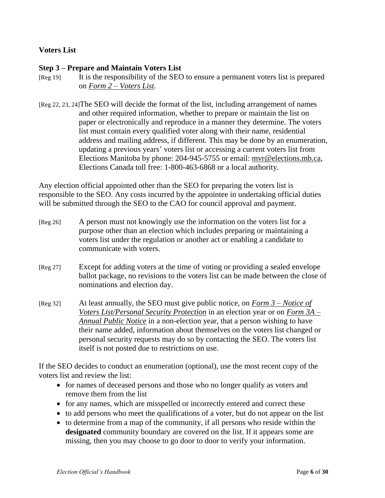## **Voters List**

## **Step 3 – Prepare and Maintain Voters List**

- [Reg 19] It is the responsibility of the SEO to ensure a permanent voters list is prepared on *Form 2 – Voters List*.
- [Reg 22, 23, 24]The SEO will decide the format of the list, including arrangement of names and other required information, whether to prepare or maintain the list on paper or electronically and reproduce in a manner they determine. The voters list must contain every qualified voter along with their name, residential address and mailing address, if different. This may be done by an enumeration, updating a previous years' voters list or accessing a current voters list from Elections Manitoba by phone: 204-945-5755 or email: mvr@elections.mb.ca, Elections Canada toll free: 1-800-463-6868 or a local authority.

Any election official appointed other than the SEO for preparing the voters list is responsible to the SEO. Any costs incurred by the appointee in undertaking official duties will be submitted through the SEO to the CAO for council approval and payment.

- [Reg 26] A person must not knowingly use the information on the voters list for a purpose other than an election which includes preparing or maintaining a voters list under the regulation or another act or enabling a candidate to communicate with voters.
- [Reg 27] Except for adding voters at the time of voting or providing a sealed envelope ballot package, no revisions to the voters list can be made between the close of nominations and election day.
- [Reg 32] At least annually, the SEO must give public notice, on *Form 3 – Notice of Voters List/Personal Security Protection* in an election year or on *Form 3A – Annual Public Notice* in a non-election year, that a person wishing to have their name added, information about themselves on the voters list changed or personal security requests may do so by contacting the SEO. The voters list itself is not posted due to restrictions on use.

If the SEO decides to conduct an enumeration (optional), use the most recent copy of the voters list and review the list:

- for names of deceased persons and those who no longer qualify as voters and remove them from the list
- for any names, which are misspelled or incorrectly entered and correct these
- to add persons who meet the qualifications of a voter, but do not appear on the list
- to determine from a map of the community, if all persons who reside within the **designated** community boundary are covered on the list. If it appears some are missing, then you may choose to go door to door to verify your information.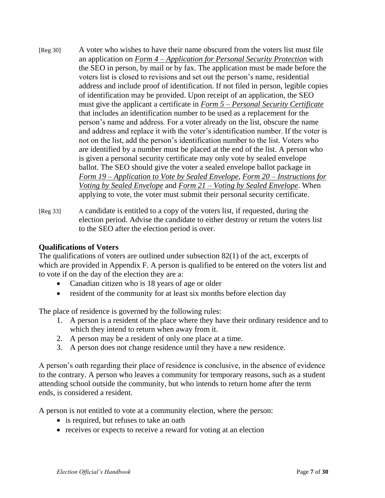- [Reg 30] A voter who wishes to have their name obscured from the voters list must file an application on *Form 4 – Application for Personal Security Protection* with the SEO in person, by mail or by fax. The application must be made before the voters list is closed to revisions and set out the person's name, residential address and include proof of identification. If not filed in person, legible copies of identification may be provided. Upon receipt of an application, the SEO must give the applicant a certificate in *Form 5 – Personal Security Certificate* that includes an identification number to be used as a replacement for the person's name and address. For a voter already on the list, obscure the name and address and replace it with the voter's identification number. If the voter is not on the list, add the person's identification number to the list. Voters who are identified by a number must be placed at the end of the list. A person who is given a personal security certificate may only vote by sealed envelope ballot. The SEO should give the voter a sealed envelope ballot package in *Form 19 – Application to Vote by Sealed Envelope*, *Form 20 – Instructions for Voting by Sealed Envelope* and *Form 21 – Voting by Sealed Envelope*. When applying to vote, the voter must submit their personal security certificate.
- [Reg 33] A candidate is entitled to a copy of the voters list, if requested, during the election period. Advise the candidate to either destroy or return the voters list to the SEO after the election period is over.

## **Qualifications of Voters**

The qualifications of voters are outlined under subsection 82(1) of the act, excerpts of which are provided in Appendix F. A person is qualified to be entered on the voters list and to vote if on the day of the election they are a:

- Canadian citizen who is 18 years of age or older
- resident of the community for at least six months before election day

The place of residence is governed by the following rules:

- 1. A person is a resident of the place where they have their ordinary residence and to which they intend to return when away from it.
- 2. A person may be a resident of only one place at a time.
- 3. A person does not change residence until they have a new residence.

A person's oath regarding their place of residence is conclusive, in the absence of evidence to the contrary. A person who leaves a community for temporary reasons, such as a student attending school outside the community, but who intends to return home after the term ends, is considered a resident.

A person is not entitled to vote at a community election, where the person:

- is required, but refuses to take an oath
- receives or expects to receive a reward for voting at an election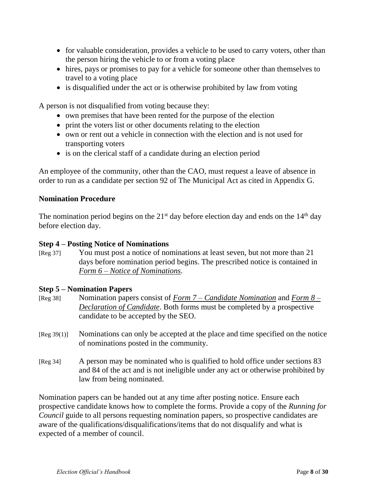- for valuable consideration, provides a vehicle to be used to carry voters, other than the person hiring the vehicle to or from a voting place
- hires, pays or promises to pay for a vehicle for someone other than themselves to travel to a voting place
- is disqualified under the act or is otherwise prohibited by law from voting

A person is not disqualified from voting because they:

- own premises that have been rented for the purpose of the election
- print the voters list or other documents relating to the election
- own or rent out a vehicle in connection with the election and is not used for transporting voters
- is on the clerical staff of a candidate during an election period

An employee of the community, other than the CAO, must request a leave of absence in order to run as a candidate per section 92 of The Municipal Act as cited in Appendix G.

## **Nomination Procedure**

The nomination period begins on the  $21<sup>st</sup>$  day before election day and ends on the  $14<sup>th</sup>$  day before election day.

## **Step 4 – Posting Notice of Nominations**

[Reg 37] You must post a notice of nominations at least seven, but not more than 21 days before nomination period begins. The prescribed notice is contained in *Form 6 – Notice of Nominations*.

## **Step 5 – Nomination Papers**

- [Reg 38] Nomination papers consist of *Form 7 – Candidate Nomination* and *Form 8 – Declaration of Candidate*. Both forms must be completed by a prospective candidate to be accepted by the SEO.
- [Reg 39(1)] Nominations can only be accepted at the place and time specified on the notice of nominations posted in the community.
- [Reg 34] A person may be nominated who is qualified to hold office under sections 83 and 84 of the act and is not ineligible under any act or otherwise prohibited by law from being nominated.

Nomination papers can be handed out at any time after posting notice. Ensure each prospective candidate knows how to complete the forms. Provide a copy of the *Running for Council* guide to all persons requesting nomination papers, so prospective candidates are aware of the qualifications/disqualifications/items that do not disqualify and what is expected of a member of council.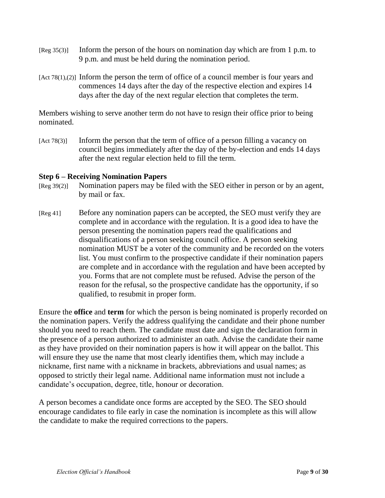- [Reg 35(3)] Inform the person of the hours on nomination day which are from 1 p.m. to 9 p.m. and must be held during the nomination period.
- [Act 78(1),(2)] Inform the person the term of office of a council member is four years and commences 14 days after the day of the respective election and expires 14 days after the day of the next regular election that completes the term.

Members wishing to serve another term do not have to resign their office prior to being nominated.

[Act 78(3)] Inform the person that the term of office of a person filling a vacancy on council begins immediately after the day of the by-election and ends 14 days after the next regular election held to fill the term.

#### **Step 6 – Receiving Nomination Papers**

- [Reg 39(2)] Nomination papers may be filed with the SEO either in person or by an agent, by mail or fax.
- [Reg 41] Before any nomination papers can be accepted, the SEO must verify they are complete and in accordance with the regulation. It is a good idea to have the person presenting the nomination papers read the qualifications and disqualifications of a person seeking council office. A person seeking nomination MUST be a voter of the community and be recorded on the voters list. You must confirm to the prospective candidate if their nomination papers are complete and in accordance with the regulation and have been accepted by you. Forms that are not complete must be refused. Advise the person of the reason for the refusal, so the prospective candidate has the opportunity, if so qualified, to resubmit in proper form.

Ensure the **office** and **term** for which the person is being nominated is properly recorded on the nomination papers. Verify the address qualifying the candidate and their phone number should you need to reach them. The candidate must date and sign the declaration form in the presence of a person authorized to administer an oath. Advise the candidate their name as they have provided on their nomination papers is how it will appear on the ballot. This will ensure they use the name that most clearly identifies them, which may include a nickname, first name with a nickname in brackets, abbreviations and usual names; as opposed to strictly their legal name. Additional name information must not include a candidate's occupation, degree, title, honour or decoration.

A person becomes a candidate once forms are accepted by the SEO. The SEO should encourage candidates to file early in case the nomination is incomplete as this will allow the candidate to make the required corrections to the papers.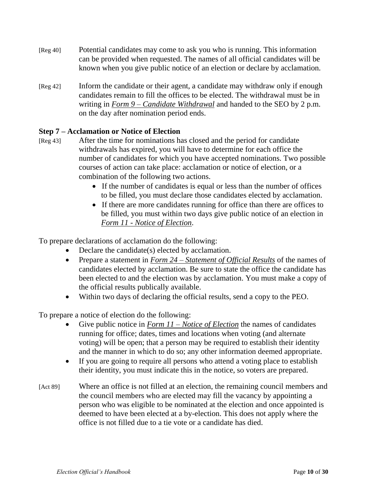- [Reg 40] Potential candidates may come to ask you who is running. This information can be provided when requested. The names of all official candidates will be known when you give public notice of an election or declare by acclamation.
- [Reg 42] Inform the candidate or their agent, a candidate may withdraw only if enough candidates remain to fill the offices to be elected. The withdrawal must be in writing in *Form 9 – Candidate Withdrawal* and handed to the SEO by 2 p.m. on the day after nomination period ends.

# **Step 7 – Acclamation or Notice of Election**

- [Reg 43] After the time for nominations has closed and the period for candidate withdrawals has expired, you will have to determine for each office the number of candidates for which you have accepted nominations. Two possible courses of action can take place: acclamation or notice of election, or a combination of the following two actions.
	- If the number of candidates is equal or less than the number of offices to be filled, you must declare those candidates elected by acclamation.
	- If there are more candidates running for office than there are offices to be filled, you must within two days give public notice of an election in *Form 11 - Notice of Election*.

To prepare declarations of acclamation do the following:

- Declare the candidate(s) elected by acclamation.
- Prepare a statement in *Form 24 Statement of Official Results* of the names of candidates elected by acclamation. Be sure to state the office the candidate has been elected to and the election was by acclamation. You must make a copy of the official results publically available.
- Within two days of declaring the official results, send a copy to the PEO.

To prepare a notice of election do the following:

- Give public notice in *Form 11 – Notice of Election* the names of candidates running for office; dates, times and locations when voting (and alternate voting) will be open; that a person may be required to establish their identity and the manner in which to do so; any other information deemed appropriate.
- If you are going to require all persons who attend a voting place to establish their identity, you must indicate this in the notice, so voters are prepared.
- [Act 89] Where an office is not filled at an election, the remaining council members and the council members who are elected may fill the vacancy by appointing a person who was eligible to be nominated at the election and once appointed is deemed to have been elected at a by-election. This does not apply where the office is not filled due to a tie vote or a candidate has died.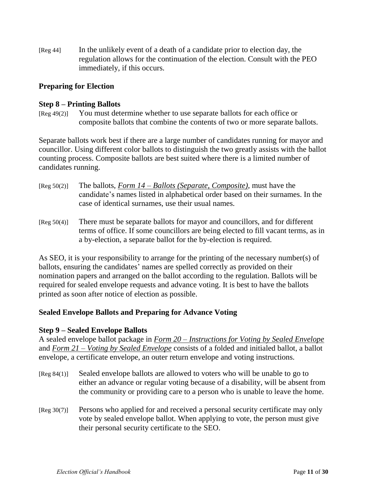[Reg 44] In the unlikely event of a death of a candidate prior to election day, the regulation allows for the continuation of the election. Consult with the PEO immediately, if this occurs.

## **Preparing for Election**

## **Step 8 – Printing Ballots**

[Reg 49(2)] You must determine whether to use separate ballots for each office or composite ballots that combine the contents of two or more separate ballots.

Separate ballots work best if there are a large number of candidates running for mayor and councillor. Using different color ballots to distinguish the two greatly assists with the ballot counting process. Composite ballots are best suited where there is a limited number of candidates running.

- [Reg 50(2)] The ballots, *Form 14 – Ballots (Separate, Composite)*, must have the candidate's names listed in alphabetical order based on their surnames. In the case of identical surnames, use their usual names.
- [Reg 50(4)] There must be separate ballots for mayor and councillors, and for different terms of office. If some councillors are being elected to fill vacant terms, as in a by-election, a separate ballot for the by-election is required.

As SEO, it is your responsibility to arrange for the printing of the necessary number(s) of ballots, ensuring the candidates' names are spelled correctly as provided on their nomination papers and arranged on the ballot according to the regulation. Ballots will be required for sealed envelope requests and advance voting. It is best to have the ballots printed as soon after notice of election as possible.

## **Sealed Envelope Ballots and Preparing for Advance Voting**

## **Step 9 – Sealed Envelope Ballots**

A sealed envelope ballot package in *Form 20 – Instructions for Voting by Sealed Envelope* and *Form 21 – Voting by Sealed Envelope* consists of a folded and initialed ballot, a ballot envelope, a certificate envelope, an outer return envelope and voting instructions.

- [Reg 84(1)] Sealed envelope ballots are allowed to voters who will be unable to go to either an advance or regular voting because of a disability, will be absent from the community or providing care to a person who is unable to leave the home.
- [Reg 30(7)] Persons who applied for and received a personal security certificate may only vote by sealed envelope ballot. When applying to vote, the person must give their personal security certificate to the SEO.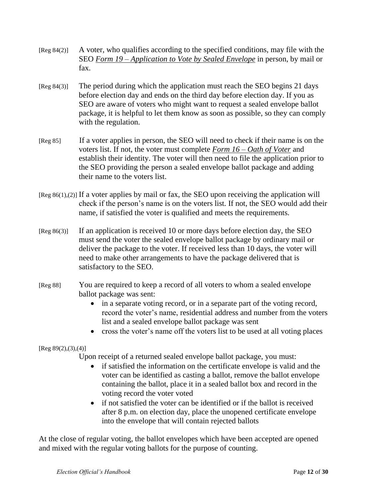- [Reg 84(2)] A voter, who qualifies according to the specified conditions, may file with the SEO *Form 19 – Application to Vote by Sealed Envelope* in person, by mail or fax.
- [Reg 84(3)] The period during which the application must reach the SEO begins 21 days before election day and ends on the third day before election day. If you as SEO are aware of voters who might want to request a sealed envelope ballot package, it is helpful to let them know as soon as possible, so they can comply with the regulation.
- [Reg 85] If a voter applies in person, the SEO will need to check if their name is on the voters list. If not, the voter must complete *Form 16 – Oath of Voter* and establish their identity. The voter will then need to file the application prior to the SEO providing the person a sealed envelope ballot package and adding their name to the voters list.
- $[Reg 86(1),(2)]$  If a voter applies by mail or fax, the SEO upon receiving the application will check if the person's name is on the voters list. If not, the SEO would add their name, if satisfied the voter is qualified and meets the requirements.
- [Reg 86(3)] If an application is received 10 or more days before election day, the SEO must send the voter the sealed envelope ballot package by ordinary mail or deliver the package to the voter. If received less than 10 days, the voter will need to make other arrangements to have the package delivered that is satisfactory to the SEO.
- [Reg 88] You are required to keep a record of all voters to whom a sealed envelope ballot package was sent:
	- in a separate voting record, or in a separate part of the voting record, record the voter's name, residential address and number from the voters list and a sealed envelope ballot package was sent
	- cross the voter's name off the voters list to be used at all voting places

[Reg 89(2),(3),(4)]

Upon receipt of a returned sealed envelope ballot package, you must:

- if satisfied the information on the certificate envelope is valid and the voter can be identified as casting a ballot, remove the ballot envelope containing the ballot, place it in a sealed ballot box and record in the voting record the voter voted
- if not satisfied the voter can be identified or if the ballot is received after 8 p.m. on election day, place the unopened certificate envelope into the envelope that will contain rejected ballots

At the close of regular voting, the ballot envelopes which have been accepted are opened and mixed with the regular voting ballots for the purpose of counting.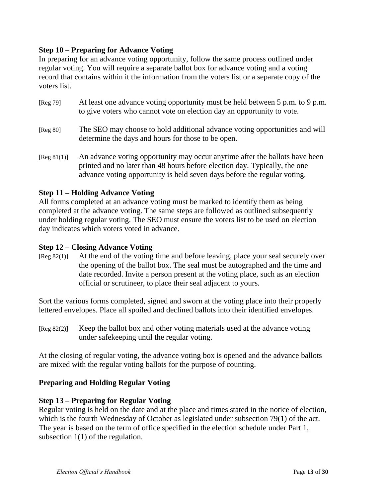## **Step 10 – Preparing for Advance Voting**

In preparing for an advance voting opportunity, follow the same process outlined under regular voting. You will require a separate ballot box for advance voting and a voting record that contains within it the information from the voters list or a separate copy of the voters list.

- [Reg 79] At least one advance voting opportunity must be held between 5 p.m. to 9 p.m. to give voters who cannot vote on election day an opportunity to vote.
- [Reg 80] The SEO may choose to hold additional advance voting opportunities and will determine the days and hours for those to be open.
- [Reg 81(1)] An advance voting opportunity may occur anytime after the ballots have been printed and no later than 48 hours before election day. Typically, the one advance voting opportunity is held seven days before the regular voting.

## **Step 11 – Holding Advance Voting**

All forms completed at an advance voting must be marked to identify them as being completed at the advance voting. The same steps are followed as outlined subsequently under holding regular voting. The SEO must ensure the voters list to be used on election day indicates which voters voted in advance.

## **Step 12 – Closing Advance Voting**

[Reg 82(1)] At the end of the voting time and before leaving, place your seal securely over the opening of the ballot box. The seal must be autographed and the time and date recorded. Invite a person present at the voting place, such as an election official or scrutineer, to place their seal adjacent to yours.

Sort the various forms completed, signed and sworn at the voting place into their properly lettered envelopes. Place all spoiled and declined ballots into their identified envelopes.

[Reg 82(2)] Keep the ballot box and other voting materials used at the advance voting under safekeeping until the regular voting.

At the closing of regular voting, the advance voting box is opened and the advance ballots are mixed with the regular voting ballots for the purpose of counting.

## **Preparing and Holding Regular Voting**

## **Step 13 – Preparing for Regular Voting**

Regular voting is held on the date and at the place and times stated in the notice of election, which is the fourth Wednesday of October as legislated under subsection 79(1) of the act. The year is based on the term of office specified in the election schedule under Part 1, subsection 1(1) of the regulation.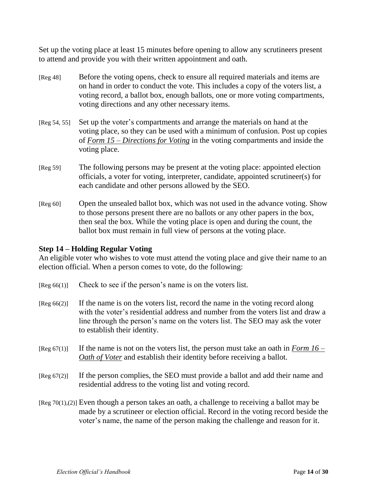Set up the voting place at least 15 minutes before opening to allow any scrutineers present to attend and provide you with their written appointment and oath.

- [Reg 48] Before the voting opens, check to ensure all required materials and items are on hand in order to conduct the vote. This includes a copy of the voters list, a voting record, a ballot box, enough ballots, one or more voting compartments, voting directions and any other necessary items.
- [Reg 54, 55] Set up the voter's compartments and arrange the materials on hand at the voting place, so they can be used with a minimum of confusion. Post up copies of *Form 15 – Directions for Voting* in the voting compartments and inside the voting place.
- [Reg 59] The following persons may be present at the voting place: appointed election officials, a voter for voting, interpreter, candidate, appointed scrutineer(s) for each candidate and other persons allowed by the SEO.
- [Reg 60] Open the unsealed ballot box, which was not used in the advance voting. Show to those persons present there are no ballots or any other papers in the box, then seal the box. While the voting place is open and during the count, the ballot box must remain in full view of persons at the voting place.

## **Step 14 – Holding Regular Voting**

An eligible voter who wishes to vote must attend the voting place and give their name to an election official. When a person comes to vote, do the following:

- [Reg 66(1)] Check to see if the person's name is on the voters list.
- [Reg 66(2)] If the name is on the voters list, record the name in the voting record along with the voter's residential address and number from the voters list and draw a line through the person's name on the voters list. The SEO may ask the voter to establish their identity.
- [Reg 67(1)] If the name is not on the voters list, the person must take an oath in *Form 16 – Oath of Voter* and establish their identity before receiving a ballot.
- [Reg 67(2)] If the person complies, the SEO must provide a ballot and add their name and residential address to the voting list and voting record.
- [Reg 70(1),(2)] Even though a person takes an oath, a challenge to receiving a ballot may be made by a scrutineer or election official. Record in the voting record beside the voter's name, the name of the person making the challenge and reason for it.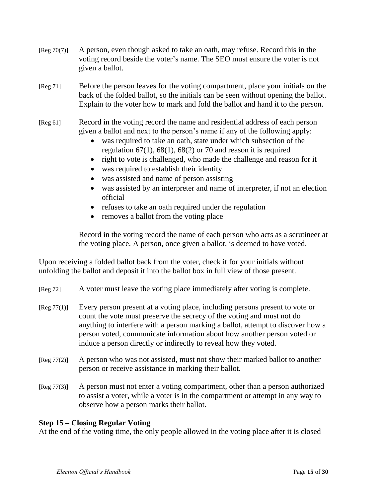- [Reg 70(7)] A person, even though asked to take an oath, may refuse. Record this in the voting record beside the voter's name. The SEO must ensure the voter is not given a ballot.
- [Reg 71] Before the person leaves for the voting compartment, place your initials on the back of the folded ballot, so the initials can be seen without opening the ballot. Explain to the voter how to mark and fold the ballot and hand it to the person.
- [Reg 61] Record in the voting record the name and residential address of each person given a ballot and next to the person's name if any of the following apply:
	- was required to take an oath, state under which subsection of the regulation  $67(1)$ ,  $68(1)$ ,  $68(2)$  or 70 and reason it is required
	- right to vote is challenged, who made the challenge and reason for it
	- was required to establish their identity
	- was assisted and name of person assisting
	- was assisted by an interpreter and name of interpreter, if not an election official
	- refuses to take an oath required under the regulation
	- removes a ballot from the voting place

Record in the voting record the name of each person who acts as a scrutineer at the voting place. A person, once given a ballot, is deemed to have voted.

Upon receiving a folded ballot back from the voter, check it for your initials without unfolding the ballot and deposit it into the ballot box in full view of those present.

| [Reg 72] | A voter must leave the voting place immediately after voting is complete. |  |  |  |
|----------|---------------------------------------------------------------------------|--|--|--|
|          |                                                                           |  |  |  |

- [Reg 77(1)] Every person present at a voting place, including persons present to vote or count the vote must preserve the secrecy of the voting and must not do anything to interfere with a person marking a ballot, attempt to discover how a person voted, communicate information about how another person voted or induce a person directly or indirectly to reveal how they voted.
- $[Reg 77(2)]$  A person who was not assisted, must not show their marked ballot to another person or receive assistance in marking their ballot.
- [Reg 77(3)] A person must not enter a voting compartment, other than a person authorized to assist a voter, while a voter is in the compartment or attempt in any way to observe how a person marks their ballot.

## **Step 15 – Closing Regular Voting**

At the end of the voting time, the only people allowed in the voting place after it is closed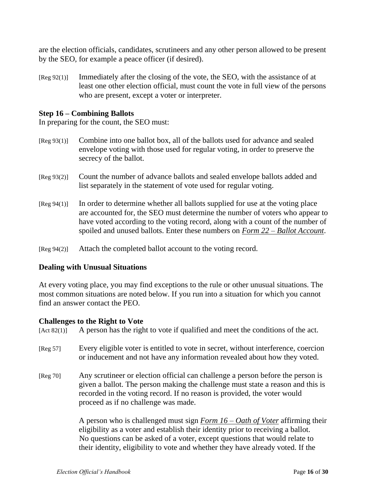are the election officials, candidates, scrutineers and any other person allowed to be present by the SEO, for example a peace officer (if desired).

[Reg 92(1)] Immediately after the closing of the vote, the SEO, with the assistance of at least one other election official, must count the vote in full view of the persons who are present, except a voter or interpreter.

#### **Step 16 – Combining Ballots**

In preparing for the count, the SEO must:

- [Reg 93(1)] Combine into one ballot box, all of the ballots used for advance and sealed envelope voting with those used for regular voting, in order to preserve the secrecy of the ballot.
- [Reg 93(2)] Count the number of advance ballots and sealed envelope ballots added and list separately in the statement of vote used for regular voting.
- [Reg 94(1)] In order to determine whether all ballots supplied for use at the voting place are accounted for, the SEO must determine the number of voters who appear to have voted according to the voting record, along with a count of the number of spoiled and unused ballots. Enter these numbers on *Form 22 – Ballot Account*.

[Reg 94(2)] Attach the completed ballot account to the voting record.

#### **Dealing with Unusual Situations**

At every voting place, you may find exceptions to the rule or other unusual situations. The most common situations are noted below. If you run into a situation for which you cannot find an answer contact the PEO.

#### **Challenges to the Right to Vote**

 $[Act 82(1)]$  A person has the right to vote if qualified and meet the conditions of the act.

- [Reg 57] Every eligible voter is entitled to vote in secret, without interference, coercion or inducement and not have any information revealed about how they voted.
- [Reg 70] Any scrutineer or election official can challenge a person before the person is given a ballot. The person making the challenge must state a reason and this is recorded in the voting record. If no reason is provided, the voter would proceed as if no challenge was made.

A person who is challenged must sign *Form 16 – Oath of Voter* affirming their eligibility as a voter and establish their identity prior to receiving a ballot. No questions can be asked of a voter, except questions that would relate to their identity, eligibility to vote and whether they have already voted. If the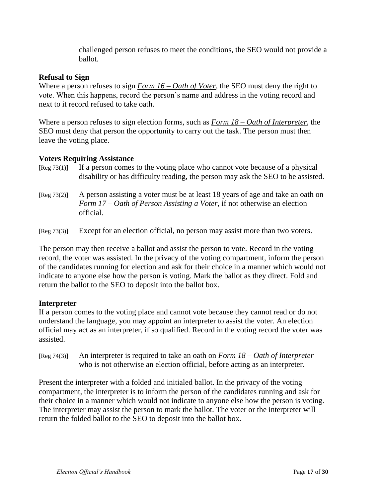challenged person refuses to meet the conditions, the SEO would not provide a ballot.

## **Refusal to Sign**

Where a person refuses to sign *Form 16 – Oath of Voter*, the SEO must deny the right to vote. When this happens, record the person's name and address in the voting record and next to it record refused to take oath.

Where a person refuses to sign election forms, such as *Form 18 – Oath of Interpreter*, the SEO must deny that person the opportunity to carry out the task. The person must then leave the voting place.

#### **Voters Requiring Assistance**

- $[Reg 73(1)]$  If a person comes to the voting place who cannot vote because of a physical disability or has difficulty reading, the person may ask the SEO to be assisted.
- [Reg 73(2)] A person assisting a voter must be at least 18 years of age and take an oath on *Form 17 – Oath of Person Assisting a Voter*, if not otherwise an election official.
- [Reg 73(3)] Except for an election official, no person may assist more than two voters.

The person may then receive a ballot and assist the person to vote. Record in the voting record, the voter was assisted. In the privacy of the voting compartment, inform the person of the candidates running for election and ask for their choice in a manner which would not indicate to anyone else how the person is voting. Mark the ballot as they direct. Fold and return the ballot to the SEO to deposit into the ballot box.

## **Interpreter**

If a person comes to the voting place and cannot vote because they cannot read or do not understand the language, you may appoint an interpreter to assist the voter. An election official may act as an interpreter, if so qualified. Record in the voting record the voter was assisted.

[Reg 74(3)] An interpreter is required to take an oath on *Form 18 – Oath of Interpreter* who is not otherwise an election official, before acting as an interpreter.

Present the interpreter with a folded and initialed ballot. In the privacy of the voting compartment, the interpreter is to inform the person of the candidates running and ask for their choice in a manner which would not indicate to anyone else how the person is voting. The interpreter may assist the person to mark the ballot. The voter or the interpreter will return the folded ballot to the SEO to deposit into the ballot box.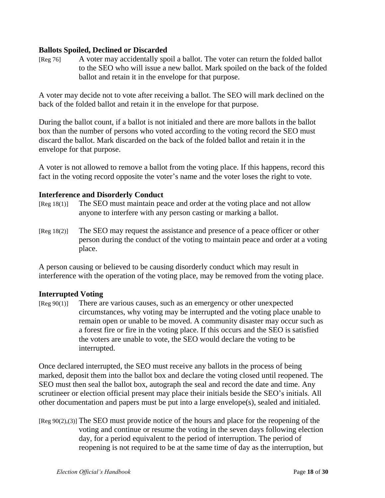## **Ballots Spoiled, Declined or Discarded**

[Reg 76] A voter may accidentally spoil a ballot. The voter can return the folded ballot to the SEO who will issue a new ballot. Mark spoiled on the back of the folded ballot and retain it in the envelope for that purpose.

A voter may decide not to vote after receiving a ballot. The SEO will mark declined on the back of the folded ballot and retain it in the envelope for that purpose.

During the ballot count, if a ballot is not initialed and there are more ballots in the ballot box than the number of persons who voted according to the voting record the SEO must discard the ballot. Mark discarded on the back of the folded ballot and retain it in the envelope for that purpose.

A voter is not allowed to remove a ballot from the voting place. If this happens, record this fact in the voting record opposite the voter's name and the voter loses the right to vote.

#### **Interference and Disorderly Conduct**

- [Reg 18(1)] The SEO must maintain peace and order at the voting place and not allow anyone to interfere with any person casting or marking a ballot.
- [Reg 18(2)] The SEO may request the assistance and presence of a peace officer or other person during the conduct of the voting to maintain peace and order at a voting place.

A person causing or believed to be causing disorderly conduct which may result in interference with the operation of the voting place, may be removed from the voting place.

## **Interrupted Voting**

 $[Reg 90(1)]$  There are various causes, such as an emergency or other unexpected circumstances, why voting may be interrupted and the voting place unable to remain open or unable to be moved. A community disaster may occur such as a forest fire or fire in the voting place. If this occurs and the SEO is satisfied the voters are unable to vote, the SEO would declare the voting to be interrupted.

Once declared interrupted, the SEO must receive any ballots in the process of being marked, deposit them into the ballot box and declare the voting closed until reopened. The SEO must then seal the ballot box, autograph the seal and record the date and time. Any scrutineer or election official present may place their initials beside the SEO's initials. All other documentation and papers must be put into a large envelope(s), sealed and initialed.

[Reg 90(2),(3)] The SEO must provide notice of the hours and place for the reopening of the voting and continue or resume the voting in the seven days following election day, for a period equivalent to the period of interruption. The period of reopening is not required to be at the same time of day as the interruption, but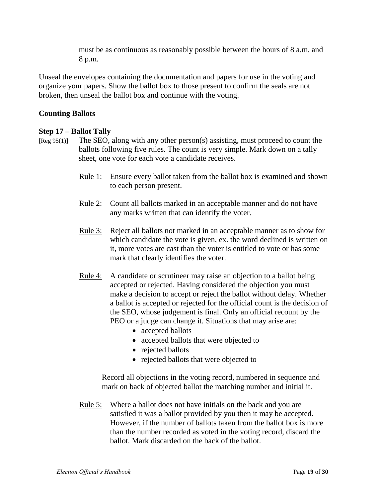must be as continuous as reasonably possible between the hours of 8 a.m. and 8 p.m.

Unseal the envelopes containing the documentation and papers for use in the voting and organize your papers. Show the ballot box to those present to confirm the seals are not broken, then unseal the ballot box and continue with the voting.

## **Counting Ballots**

## **Step 17 – Ballot Tally**

- [Reg 95(1)] The SEO, along with any other person(s) assisting, must proceed to count the ballots following five rules. The count is very simple. Mark down on a tally sheet, one vote for each vote a candidate receives.
	- Rule 1: Ensure every ballot taken from the ballot box is examined and shown to each person present.
	- Rule 2: Count all ballots marked in an acceptable manner and do not have any marks written that can identify the voter.
	- Rule 3: Reject all ballots not marked in an acceptable manner as to show for which candidate the vote is given, ex. the word declined is written on it, more votes are cast than the voter is entitled to vote or has some mark that clearly identifies the voter.
	- Rule 4: A candidate or scrutineer may raise an objection to a ballot being accepted or rejected. Having considered the objection you must make a decision to accept or reject the ballot without delay. Whether a ballot is accepted or rejected for the official count is the decision of the SEO, whose judgement is final. Only an official recount by the PEO or a judge can change it. Situations that may arise are:
		- accepted ballots
		- accepted ballots that were objected to
		- rejected ballots
		- rejected ballots that were objected to

Record all objections in the voting record, numbered in sequence and mark on back of objected ballot the matching number and initial it.

Rule 5: Where a ballot does not have initials on the back and you are satisfied it was a ballot provided by you then it may be accepted. However, if the number of ballots taken from the ballot box is more than the number recorded as voted in the voting record, discard the ballot. Mark discarded on the back of the ballot.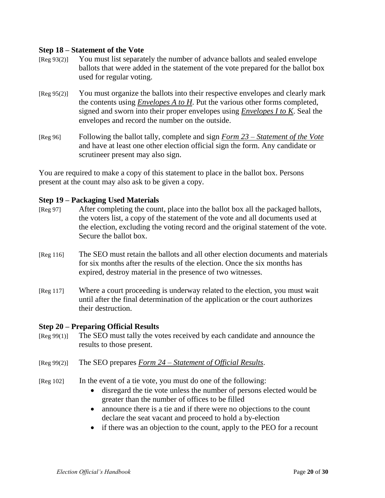#### **Step 18 – Statement of the Vote**

- [Reg 93(2)] You must list separately the number of advance ballots and sealed envelope ballots that were added in the statement of the vote prepared for the ballot box used for regular voting.
- [Reg 95(2)] You must organize the ballots into their respective envelopes and clearly mark the contents using *Envelopes A to H*. Put the various other forms completed, signed and sworn into their proper envelopes using *Envelopes I to K*. Seal the envelopes and record the number on the outside.
- [Reg 96] Following the ballot tally, complete and sign *Form 23 – Statement of the Vote* and have at least one other election official sign the form. Any candidate or scrutineer present may also sign.

You are required to make a copy of this statement to place in the ballot box. Persons present at the count may also ask to be given a copy.

## **Step 19 – Packaging Used Materials**

- [Reg 97] After completing the count, place into the ballot box all the packaged ballots, the voters list, a copy of the statement of the vote and all documents used at the election, excluding the voting record and the original statement of the vote. Secure the ballot box.
- [Reg 116] The SEO must retain the ballots and all other election documents and materials for six months after the results of the election. Once the six months has expired, destroy material in the presence of two witnesses.
- [Reg 117] Where a court proceeding is underway related to the election, you must wait until after the final determination of the application or the court authorizes their destruction.

#### **Step 20 – Preparing Official Results**

- [Reg 99(1)] The SEO must tally the votes received by each candidate and announce the results to those present.
- [Reg 99(2)] The SEO prepares *Form 24 – Statement of Official Results*.
- [Reg 102] In the event of a tie vote, you must do one of the following:
	- disregard the tie vote unless the number of persons elected would be greater than the number of offices to be filled
	- announce there is a tie and if there were no objections to the count declare the seat vacant and proceed to hold a by-election
	- if there was an objection to the count, apply to the PEO for a recount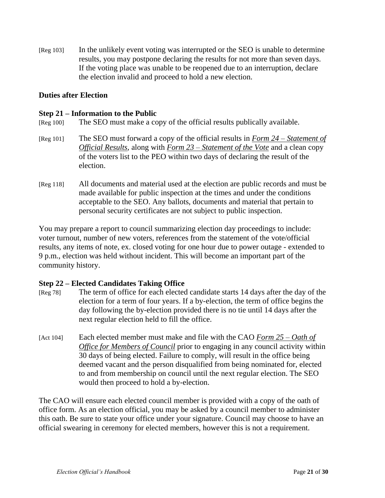[Reg 103] In the unlikely event voting was interrupted or the SEO is unable to determine results, you may postpone declaring the results for not more than seven days. If the voting place was unable to be reopened due to an interruption, declare the election invalid and proceed to hold a new election.

#### **Duties after Election**

#### **Step 21 – Information to the Public**

- [Reg 100] The SEO must make a copy of the official results publically available.
- [Reg 101] The SEO must forward a copy of the official results in *Form 24 – Statement of Official Results*, along with *Form 23 – Statement of the Vote* and a clean copy of the voters list to the PEO within two days of declaring the result of the election.
- [Reg 118] All documents and material used at the election are public records and must be made available for public inspection at the times and under the conditions acceptable to the SEO. Any ballots, documents and material that pertain to personal security certificates are not subject to public inspection.

You may prepare a report to council summarizing election day proceedings to include: voter turnout, number of new voters, references from the statement of the vote/official results, any items of note, ex. closed voting for one hour due to power outage - extended to 9 p.m., election was held without incident. This will become an important part of the community history.

#### **Step 22 – Elected Candidates Taking Office**

- [Reg 78] The term of office for each elected candidate starts 14 days after the day of the election for a term of four years. If a by-election, the term of office begins the day following the by-election provided there is no tie until 14 days after the next regular election held to fill the office.
- [Act 104] Each elected member must make and file with the CAO *Form 25 – Oath of Office for Members of Council* prior to engaging in any council activity within 30 days of being elected. Failure to comply, will result in the office being deemed vacant and the person disqualified from being nominated for, elected to and from membership on council until the next regular election. The SEO would then proceed to hold a by-election.

The CAO will ensure each elected council member is provided with a copy of the oath of office form. As an election official, you may be asked by a council member to administer this oath. Be sure to state your office under your signature. Council may choose to have an official swearing in ceremony for elected members, however this is not a requirement.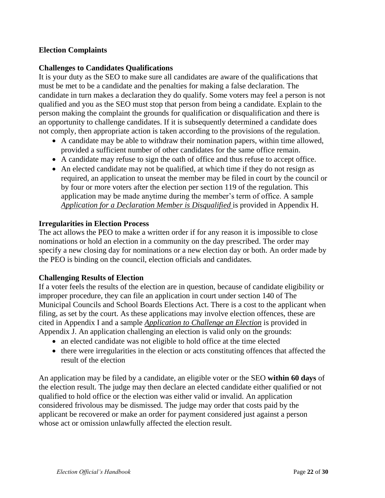## **Election Complaints**

## **Challenges to Candidates Qualifications**

It is your duty as the SEO to make sure all candidates are aware of the qualifications that must be met to be a candidate and the penalties for making a false declaration. The candidate in turn makes a declaration they do qualify. Some voters may feel a person is not qualified and you as the SEO must stop that person from being a candidate. Explain to the person making the complaint the grounds for qualification or disqualification and there is an opportunity to challenge candidates. If it is subsequently determined a candidate does not comply, then appropriate action is taken according to the provisions of the regulation.

- A candidate may be able to withdraw their nomination papers, within time allowed, provided a sufficient number of other candidates for the same office remain.
- A candidate may refuse to sign the oath of office and thus refuse to accept office.
- An elected candidate may not be qualified, at which time if they do not resign as required, an application to unseat the member may be filed in court by the council or by four or more voters after the election per section 119 of the regulation. This application may be made anytime during the member's term of office. A sample *Application for a Declaration Member is Disqualified* is provided in Appendix H.

#### **Irregularities in Election Process**

The act allows the PEO to make a written order if for any reason it is impossible to close nominations or hold an election in a community on the day prescribed. The order may specify a new closing day for nominations or a new election day or both. An order made by the PEO is binding on the council, election officials and candidates.

## **Challenging Results of Election**

If a voter feels the results of the election are in question, because of candidate eligibility or improper procedure, they can file an application in court under section 140 of The Municipal Councils and School Boards Elections Act. There is a cost to the applicant when filing, as set by the court. As these applications may involve election offences, these are cited in Appendix I and a sample *Application to Challenge an Election* is provided in Appendix J. An application challenging an election is valid only on the grounds:

- an elected candidate was not eligible to hold office at the time elected
- there were irregularities in the election or acts constituting offences that affected the result of the election

An application may be filed by a candidate, an eligible voter or the SEO **within 60 days** of the election result. The judge may then declare an elected candidate either qualified or not qualified to hold office or the election was either valid or invalid. An application considered frivolous may be dismissed. The judge may order that costs paid by the applicant be recovered or make an order for payment considered just against a person whose act or omission unlawfully affected the election result.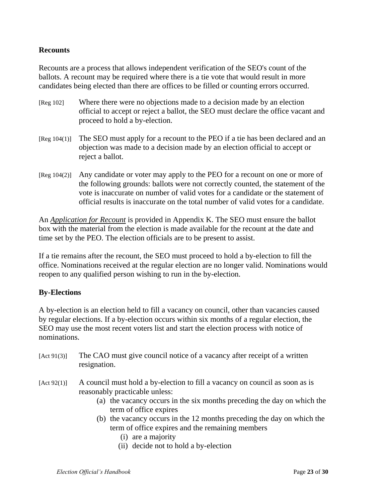## **Recounts**

Recounts are a process that allows independent verification of the SEO's count of the ballots. A recount may be required where there is a tie vote that would result in more candidates being elected than there are offices to be filled or counting errors occurred.

- [Reg 102] Where there were no objections made to a decision made by an election official to accept or reject a ballot, the SEO must declare the office vacant and proceed to hold a by-election.
- [Reg 104(1)] The SEO must apply for a recount to the PEO if a tie has been declared and an objection was made to a decision made by an election official to accept or reject a ballot.
- [Reg 104(2)] Any candidate or voter may apply to the PEO for a recount on one or more of the following grounds: ballots were not correctly counted, the statement of the vote is inaccurate on number of valid votes for a candidate or the statement of official results is inaccurate on the total number of valid votes for a candidate.

An *Application for Recount* is provided in Appendix K. The SEO must ensure the ballot box with the material from the election is made available for the recount at the date and time set by the PEO. The election officials are to be present to assist.

If a tie remains after the recount, the SEO must proceed to hold a by-election to fill the office. Nominations received at the regular election are no longer valid. Nominations would reopen to any qualified person wishing to run in the by-election.

## **By-Elections**

A by-election is an election held to fill a vacancy on council, other than vacancies caused by regular elections. If a by-election occurs within six months of a regular election, the SEO may use the most recent voters list and start the election process with notice of nominations.

- [Act 91(3)] The CAO must give council notice of a vacancy after receipt of a written resignation.
- $[Act 92(1)]$  A council must hold a by-election to fill a vacancy on council as soon as is reasonably practicable unless:
	- (a) the vacancy occurs in the six months preceding the day on which the term of office expires
	- (b) the vacancy occurs in the 12 months preceding the day on which the term of office expires and the remaining members
		- (i) are a majority
		- (ii) decide not to hold a by-election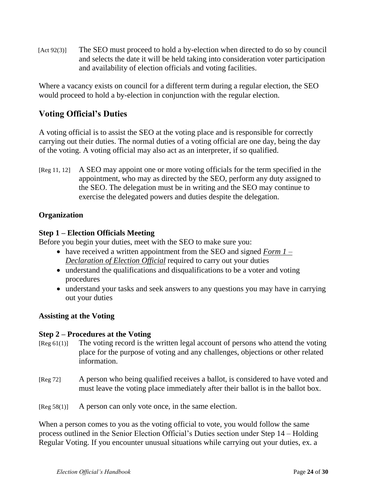[Act 92(3)] The SEO must proceed to hold a by-election when directed to do so by council and selects the date it will be held taking into consideration voter participation and availability of election officials and voting facilities.

Where a vacancy exists on council for a different term during a regular election, the SEO would proceed to hold a by-election in conjunction with the regular election.

# **Voting Official's Duties**

A voting official is to assist the SEO at the voting place and is responsible for correctly carrying out their duties. The normal duties of a voting official are one day, being the day of the voting. A voting official may also act as an interpreter, if so qualified.

[Reg 11, 12] A SEO may appoint one or more voting officials for the term specified in the appointment, who may as directed by the SEO, perform any duty assigned to the SEO. The delegation must be in writing and the SEO may continue to exercise the delegated powers and duties despite the delegation.

## **Organization**

## **Step 1 – Election Officials Meeting**

Before you begin your duties, meet with the SEO to make sure you:

- have received a written appointment from the SEO and signed *Form 1 – Declaration of Election Official* required to carry out your duties
- understand the qualifications and disqualifications to be a voter and voting procedures
- understand your tasks and seek answers to any questions you may have in carrying out your duties

# **Assisting at the Voting**

## **Step 2 – Procedures at the Voting**

- [Reg 61(1)] The voting record is the written legal account of persons who attend the voting place for the purpose of voting and any challenges, objections or other related information.
- [Reg 72] A person who being qualified receives a ballot, is considered to have voted and must leave the voting place immediately after their ballot is in the ballot box.
- [Reg 58(1)] A person can only vote once, in the same election.

When a person comes to you as the voting official to vote, you would follow the same process outlined in the Senior Election Official's Duties section under Step 14 – Holding Regular Voting. If you encounter unusual situations while carrying out your duties, ex. a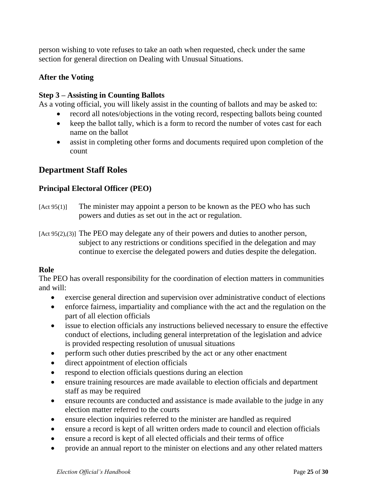person wishing to vote refuses to take an oath when requested, check under the same section for general direction on Dealing with Unusual Situations.

## **After the Voting**

## **Step 3 – Assisting in Counting Ballots**

As a voting official, you will likely assist in the counting of ballots and may be asked to:

- record all notes/objections in the voting record, respecting ballots being counted
- keep the ballot tally, which is a form to record the number of votes cast for each name on the ballot
- assist in completing other forms and documents required upon completion of the count

# **Department Staff Roles**

## **Principal Electoral Officer (PEO)**

- [Act 95(1)] The minister may appoint a person to be known as the PEO who has such powers and duties as set out in the act or regulation.
- [Act 95(2),(3)] The PEO may delegate any of their powers and duties to another person, subject to any restrictions or conditions specified in the delegation and may continue to exercise the delegated powers and duties despite the delegation.

## **Role**

The PEO has overall responsibility for the coordination of election matters in communities and will:

- exercise general direction and supervision over administrative conduct of elections
- enforce fairness, impartiality and compliance with the act and the regulation on the part of all election officials
- issue to election officials any instructions believed necessary to ensure the effective conduct of elections, including general interpretation of the legislation and advice is provided respecting resolution of unusual situations
- perform such other duties prescribed by the act or any other enactment
- direct appointment of election officials
- respond to election officials questions during an election
- ensure training resources are made available to election officials and department staff as may be required
- ensure recounts are conducted and assistance is made available to the judge in any election matter referred to the courts
- ensure election inquiries referred to the minister are handled as required
- ensure a record is kept of all written orders made to council and election officials
- ensure a record is kept of all elected officials and their terms of office
- provide an annual report to the minister on elections and any other related matters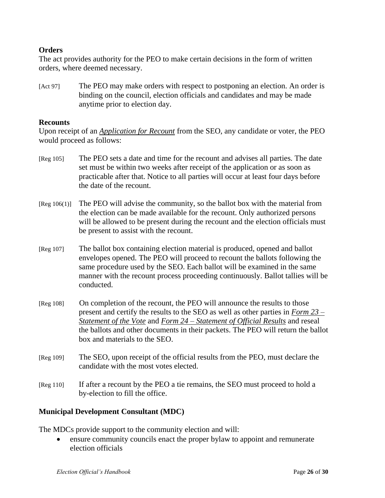## **Orders**

The act provides authority for the PEO to make certain decisions in the form of written orders, where deemed necessary.

[Act 97] The PEO may make orders with respect to postponing an election. An order is binding on the council, election officials and candidates and may be made anytime prior to election day.

#### **Recounts**

Upon receipt of an *Application for Recount* from the SEO, any candidate or voter, the PEO would proceed as follows:

- [Reg 105] The PEO sets a date and time for the recount and advises all parties. The date set must be within two weeks after receipt of the application or as soon as practicable after that. Notice to all parties will occur at least four days before the date of the recount.
- [Reg 106(1)] The PEO will advise the community, so the ballot box with the material from the election can be made available for the recount. Only authorized persons will be allowed to be present during the recount and the election officials must be present to assist with the recount.
- [Reg 107] The ballot box containing election material is produced, opened and ballot envelopes opened. The PEO will proceed to recount the ballots following the same procedure used by the SEO. Each ballot will be examined in the same manner with the recount process proceeding continuously. Ballot tallies will be conducted.
- [Reg 108] On completion of the recount, the PEO will announce the results to those present and certify the results to the SEO as well as other parties in *Form 23 – Statement of the Vote* and *Form 24 – Statement of Official Results* and reseal the ballots and other documents in their packets. The PEO will return the ballot box and materials to the SEO.
- [Reg 109] The SEO, upon receipt of the official results from the PEO, must declare the candidate with the most votes elected.
- [Reg 110] If after a recount by the PEO a tie remains, the SEO must proceed to hold a by-election to fill the office.

#### **Municipal Development Consultant (MDC)**

The MDCs provide support to the community election and will:

 ensure community councils enact the proper bylaw to appoint and remunerate election officials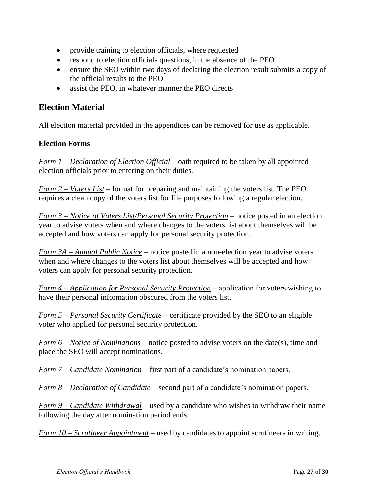- provide training to election officials, where requested
- respond to election officials questions, in the absence of the PEO
- ensure the SEO within two days of declaring the election result submits a copy of the official results to the PEO
- assist the PEO, in whatever manner the PEO directs

# **Election Material**

All election material provided in the appendices can be removed for use as applicable.

## **Election Forms**

*Form 1 – Declaration of Election Official* – oath required to be taken by all appointed election officials prior to entering on their duties.

*Form 2 – Voters List* – format for preparing and maintaining the voters list. The PEO requires a clean copy of the voters list for file purposes following a regular election.

*Form 3 – Notice of Voters List/Personal Security Protection* – notice posted in an election year to advise voters when and where changes to the voters list about themselves will be accepted and how voters can apply for personal security protection.

*Form 3A – Annual Public Notice* – notice posted in a non-election year to advise voters when and where changes to the voters list about themselves will be accepted and how voters can apply for personal security protection.

*Form 4 – Application for Personal Security Protection* – application for voters wishing to have their personal information obscured from the voters list.

*Form 5 – Personal Security Certificate* – certificate provided by the SEO to an eligible voter who applied for personal security protection.

*Form 6 – Notice of Nominations* – notice posted to advise voters on the date(s), time and place the SEO will accept nominations.

*Form 7 – Candidate Nomination* – first part of a candidate's nomination papers.

*Form 8 – Declaration of Candidate* – second part of a candidate's nomination papers.

*Form 9 – Candidate Withdrawal* – used by a candidate who wishes to withdraw their name following the day after nomination period ends.

*Form 10 – Scrutineer Appointment* – used by candidates to appoint scrutineers in writing.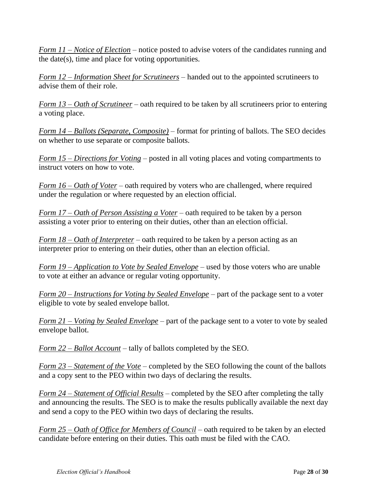*Form 11 – Notice of Election* – notice posted to advise voters of the candidates running and the date(s), time and place for voting opportunities.

*Form 12 – Information Sheet for Scrutineers* – handed out to the appointed scrutineers to advise them of their role.

*Form 13 – Oath of Scrutineer* – oath required to be taken by all scrutineers prior to entering a voting place.

*Form 14 – Ballots (Separate, Composite)* – format for printing of ballots. The SEO decides on whether to use separate or composite ballots.

*Form 15 – Directions for Voting* – posted in all voting places and voting compartments to instruct voters on how to vote.

*Form 16 – Oath of Voter* – oath required by voters who are challenged, where required under the regulation or where requested by an election official.

*Form 17 – Oath of Person Assisting a Voter* – oath required to be taken by a person assisting a voter prior to entering on their duties, other than an election official.

*Form 18 – Oath of Interpreter* – oath required to be taken by a person acting as an interpreter prior to entering on their duties, other than an election official.

*Form 19 – Application to Vote by Sealed Envelope* – used by those voters who are unable to vote at either an advance or regular voting opportunity.

*Form 20 – Instructions for Voting by Sealed Envelope* – part of the package sent to a voter eligible to vote by sealed envelope ballot.

*Form 21 – Voting by Sealed Envelope* – part of the package sent to a voter to vote by sealed envelope ballot.

*Form 22 – Ballot Account* – tally of ballots completed by the SEO.

*Form 23 – Statement of the Vote* – completed by the SEO following the count of the ballots and a copy sent to the PEO within two days of declaring the results.

*Form 24 – Statement of Official Results* – completed by the SEO after completing the tally and announcing the results. The SEO is to make the results publically available the next day and send a copy to the PEO within two days of declaring the results.

*Form 25 – Oath of Office for Members of Council* – oath required to be taken by an elected candidate before entering on their duties. This oath must be filed with the CAO.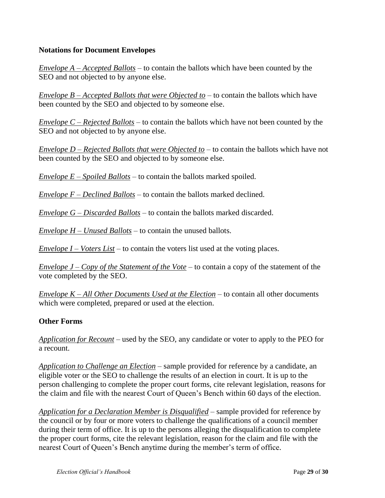## **Notations for Document Envelopes**

*Envelope A – Accepted Ballots* – to contain the ballots which have been counted by the SEO and not objected to by anyone else.

*Envelope B – Accepted Ballots that were Objected to* – to contain the ballots which have been counted by the SEO and objected to by someone else.

*Envelope C – Rejected Ballots* – to contain the ballots which have not been counted by the SEO and not objected to by anyone else.

*Envelope D – Rejected Ballots that were Objected to* – to contain the ballots which have not been counted by the SEO and objected to by someone else.

*Envelope E – Spoiled Ballots* – to contain the ballots marked spoiled.

*Envelope F – Declined Ballots* – to contain the ballots marked declined.

*Envelope G – Discarded Ballots* – to contain the ballots marked discarded.

*Envelope H – Unused Ballots* – to contain the unused ballots.

*Envelope I – Voters List* – to contain the voters list used at the voting places.

*Envelope J – Copy of the Statement of the Vote* – to contain a copy of the statement of the vote completed by the SEO.

*Envelope K – All Other Documents Used at the Election* – to contain all other documents which were completed, prepared or used at the election.

## **Other Forms**

*Application for Recount* – used by the SEO, any candidate or voter to apply to the PEO for a recount.

*Application to Challenge an Election* – sample provided for reference by a candidate, an eligible voter or the SEO to challenge the results of an election in court. It is up to the person challenging to complete the proper court forms, cite relevant legislation, reasons for the claim and file with the nearest Court of Queen's Bench within 60 days of the election.

*Application for a Declaration Member is Disqualified* – sample provided for reference by the council or by four or more voters to challenge the qualifications of a council member during their term of office. It is up to the persons alleging the disqualification to complete the proper court forms, cite the relevant legislation, reason for the claim and file with the nearest Court of Queen's Bench anytime during the member's term of office.